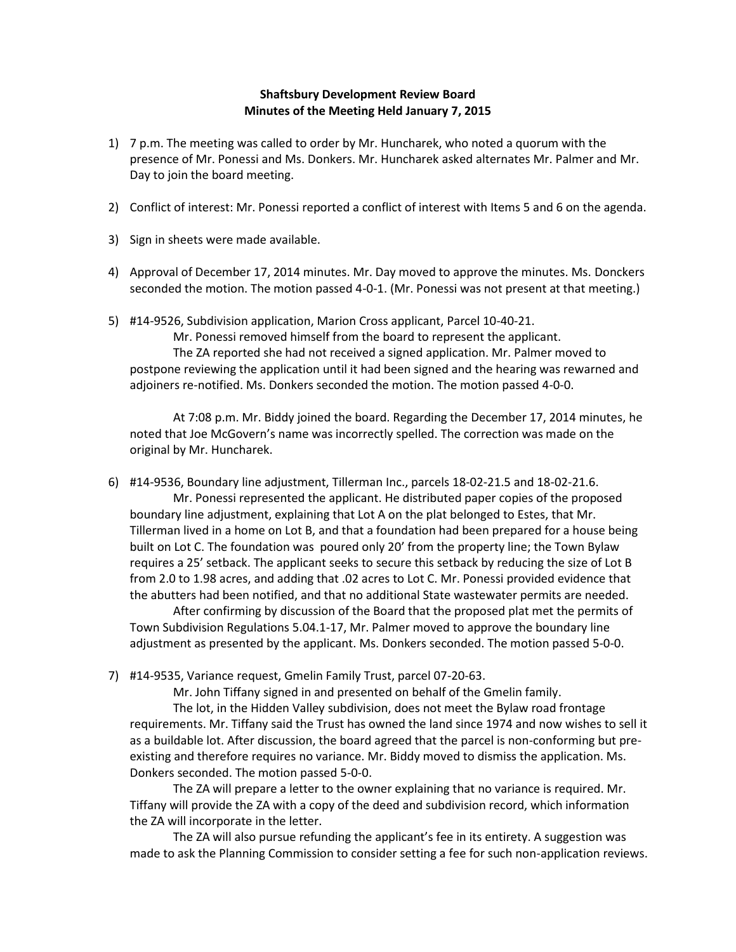## **Shaftsbury Development Review Board Minutes of the Meeting Held January 7, 2015**

- 1) 7 p.m. The meeting was called to order by Mr. Huncharek, who noted a quorum with the presence of Mr. Ponessi and Ms. Donkers. Mr. Huncharek asked alternates Mr. Palmer and Mr. Day to join the board meeting.
- 2) Conflict of interest: Mr. Ponessi reported a conflict of interest with Items 5 and 6 on the agenda.
- 3) Sign in sheets were made available.
- 4) Approval of December 17, 2014 minutes. Mr. Day moved to approve the minutes. Ms. Donckers seconded the motion. The motion passed 4-0-1. (Mr. Ponessi was not present at that meeting.)
- 5) #14-9526, Subdivision application, Marion Cross applicant, Parcel 10-40-21.

Mr. Ponessi removed himself from the board to represent the applicant. The ZA reported she had not received a signed application. Mr. Palmer moved to postpone reviewing the application until it had been signed and the hearing was rewarned and adjoiners re-notified. Ms. Donkers seconded the motion. The motion passed 4-0-0.

At 7:08 p.m. Mr. Biddy joined the board. Regarding the December 17, 2014 minutes, he noted that Joe McGovern's name was incorrectly spelled. The correction was made on the original by Mr. Huncharek.

6) #14-9536, Boundary line adjustment, Tillerman Inc., parcels 18-02-21.5 and 18-02-21.6. Mr. Ponessi represented the applicant. He distributed paper copies of the proposed boundary line adjustment, explaining that Lot A on the plat belonged to Estes, that Mr. Tillerman lived in a home on Lot B, and that a foundation had been prepared for a house being built on Lot C. The foundation was poured only 20' from the property line; the Town Bylaw requires a 25' setback. The applicant seeks to secure this setback by reducing the size of Lot B from 2.0 to 1.98 acres, and adding that .02 acres to Lot C. Mr. Ponessi provided evidence that the abutters had been notified, and that no additional State wastewater permits are needed.

After confirming by discussion of the Board that the proposed plat met the permits of Town Subdivision Regulations 5.04.1-17, Mr. Palmer moved to approve the boundary line adjustment as presented by the applicant. Ms. Donkers seconded. The motion passed 5-0-0.

7) #14-9535, Variance request, Gmelin Family Trust, parcel 07-20-63.

Mr. John Tiffany signed in and presented on behalf of the Gmelin family.

The lot, in the Hidden Valley subdivision, does not meet the Bylaw road frontage requirements. Mr. Tiffany said the Trust has owned the land since 1974 and now wishes to sell it as a buildable lot. After discussion, the board agreed that the parcel is non-conforming but preexisting and therefore requires no variance. Mr. Biddy moved to dismiss the application. Ms. Donkers seconded. The motion passed 5-0-0.

The ZA will prepare a letter to the owner explaining that no variance is required. Mr. Tiffany will provide the ZA with a copy of the deed and subdivision record, which information the ZA will incorporate in the letter.

The ZA will also pursue refunding the applicant's fee in its entirety. A suggestion was made to ask the Planning Commission to consider setting a fee for such non-application reviews.